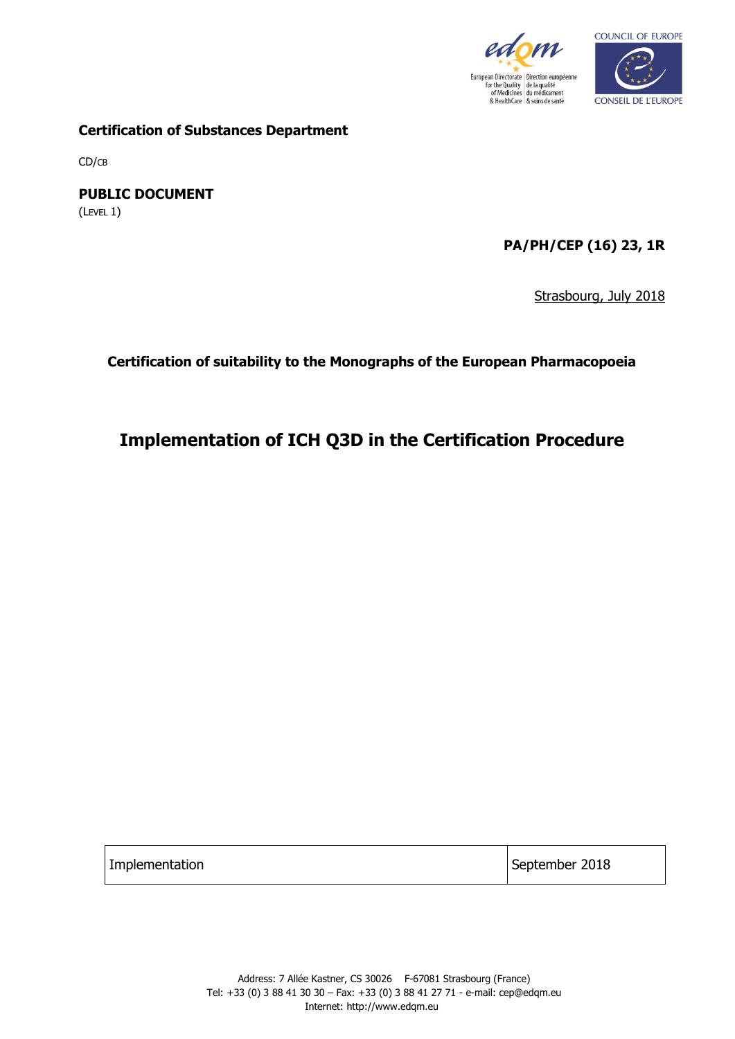



**Certification of Substances Department**

CD/CB

**PUBLIC DOCUMENT** (LEVEL 1)

**PA/PH/CEP (16) 23, 1R**

Strasbourg, July 2018

**Certification of suitability to the Monographs of the European Pharmacopoeia**

# **Implementation of ICH Q3D in the Certification Procedure**

Implementation September 2018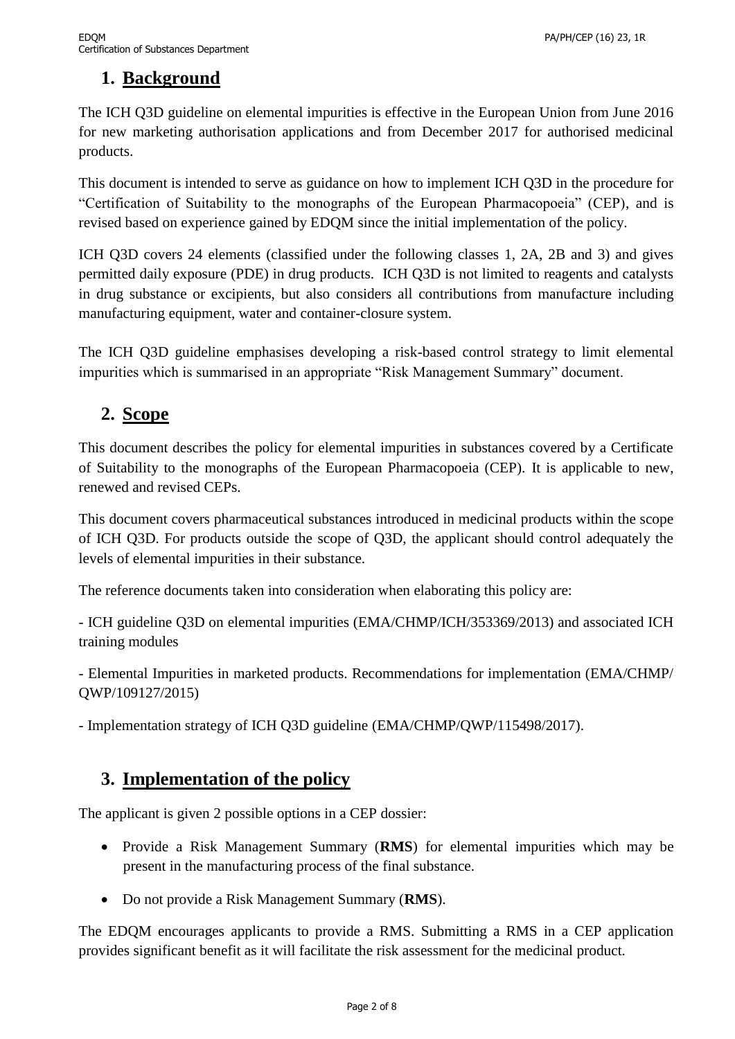## **1. Background**

The ICH Q3D guideline on elemental impurities is effective in the European Union from June 2016 for new marketing authorisation applications and from December 2017 for authorised medicinal products.

This document is intended to serve as guidance on how to implement ICH Q3D in the procedure for "Certification of Suitability to the monographs of the European Pharmacopoeia" (CEP), and is revised based on experience gained by EDQM since the initial implementation of the policy.

ICH Q3D covers 24 elements (classified under the following classes 1, 2A, 2B and 3) and gives permitted daily exposure (PDE) in drug products. ICH Q3D is not limited to reagents and catalysts in drug substance or excipients, but also considers all contributions from manufacture including manufacturing equipment, water and container-closure system.

The ICH Q3D guideline emphasises developing a risk-based control strategy to limit elemental impurities which is summarised in an appropriate "Risk Management Summary" document.

## **2. Scope**

This document describes the policy for elemental impurities in substances covered by a Certificate of Suitability to the monographs of the European Pharmacopoeia (CEP). It is applicable to new, renewed and revised CEPs.

This document covers pharmaceutical substances introduced in medicinal products within the scope of ICH Q3D. For products outside the scope of Q3D, the applicant should control adequately the levels of elemental impurities in their substance.

The reference documents taken into consideration when elaborating this policy are:

- ICH guideline Q3D on elemental impurities (EMA/CHMP/ICH/353369/2013) and associated ICH training modules

- Elemental Impurities in marketed products. Recommendations for implementation (EMA/CHMP/ QWP/109127/2015)

- Implementation strategy of ICH Q3D guideline (EMA/CHMP/QWP/115498/2017).

## **3. Implementation of the policy**

The applicant is given 2 possible options in a CEP dossier:

- Provide a Risk Management Summary (**RMS**) for elemental impurities which may be present in the manufacturing process of the final substance.
- Do not provide a Risk Management Summary (**RMS**).

The EDQM encourages applicants to provide a RMS. Submitting a RMS in a CEP application provides significant benefit as it will facilitate the risk assessment for the medicinal product.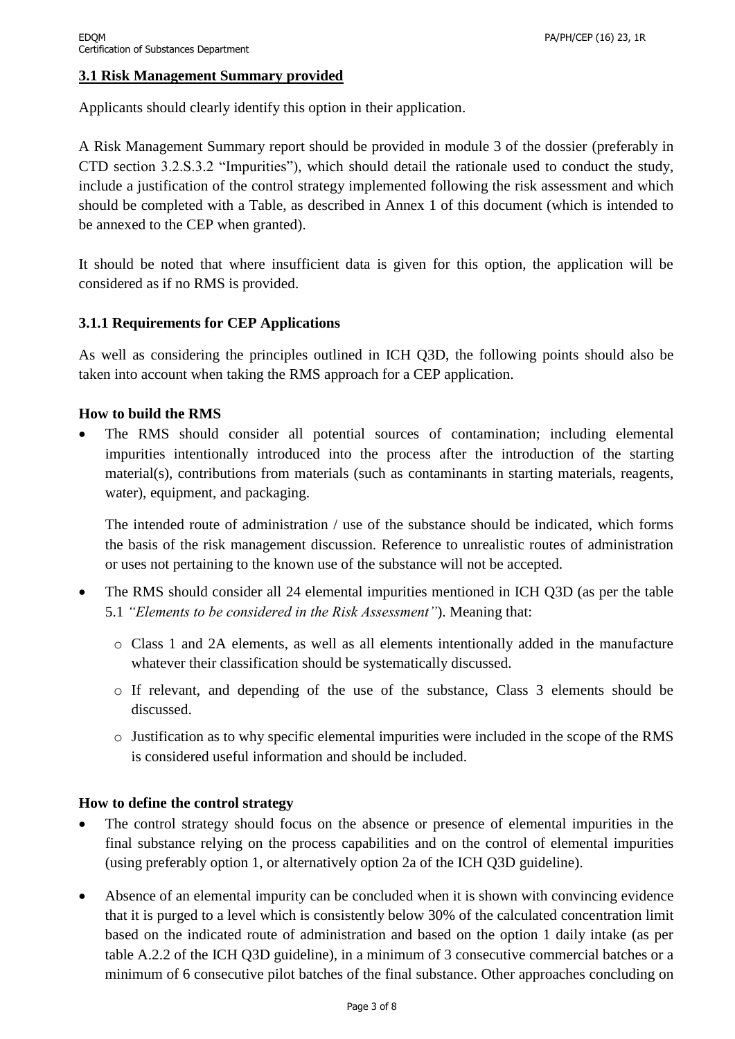### **3.1 Risk Management Summary provided**

Applicants should clearly identify this option in their application.

A Risk Management Summary report should be provided in module 3 of the dossier (preferably in CTD section 3.2.S.3.2 "Impurities"), which should detail the rationale used to conduct the study, include a justification of the control strategy implemented following the risk assessment and which should be completed with a Table, as described in Annex 1 of this document (which is intended to be annexed to the CEP when granted).

It should be noted that where insufficient data is given for this option, the application will be considered as if no RMS is provided.

#### **3.1.1 Requirements for CEP Applications**

As well as considering the principles outlined in ICH Q3D, the following points should also be taken into account when taking the RMS approach for a CEP application.

#### **How to build the RMS**

 The RMS should consider all potential sources of contamination; including elemental impurities intentionally introduced into the process after the introduction of the starting material(s), contributions from materials (such as contaminants in starting materials, reagents, water), equipment, and packaging.

The intended route of administration / use of the substance should be indicated, which forms the basis of the risk management discussion. Reference to unrealistic routes of administration or uses not pertaining to the known use of the substance will not be accepted.

- The RMS should consider all 24 elemental impurities mentioned in ICH Q3D (as per the table 5.1 *"Elements to be considered in the Risk Assessment"*). Meaning that:
	- o Class 1 and 2A elements, as well as all elements intentionally added in the manufacture whatever their classification should be systematically discussed.
	- o If relevant, and depending of the use of the substance, Class 3 elements should be discussed.
	- o Justification as to why specific elemental impurities were included in the scope of the RMS is considered useful information and should be included.

#### **How to define the control strategy**

- The control strategy should focus on the absence or presence of elemental impurities in the final substance relying on the process capabilities and on the control of elemental impurities (using preferably option 1, or alternatively option 2a of the ICH Q3D guideline).
- Absence of an elemental impurity can be concluded when it is shown with convincing evidence that it is purged to a level which is consistently below 30% of the calculated concentration limit based on the indicated route of administration and based on the option 1 daily intake (as per table A.2.2 of the ICH Q3D guideline), in a minimum of 3 consecutive commercial batches or a minimum of 6 consecutive pilot batches of the final substance. Other approaches concluding on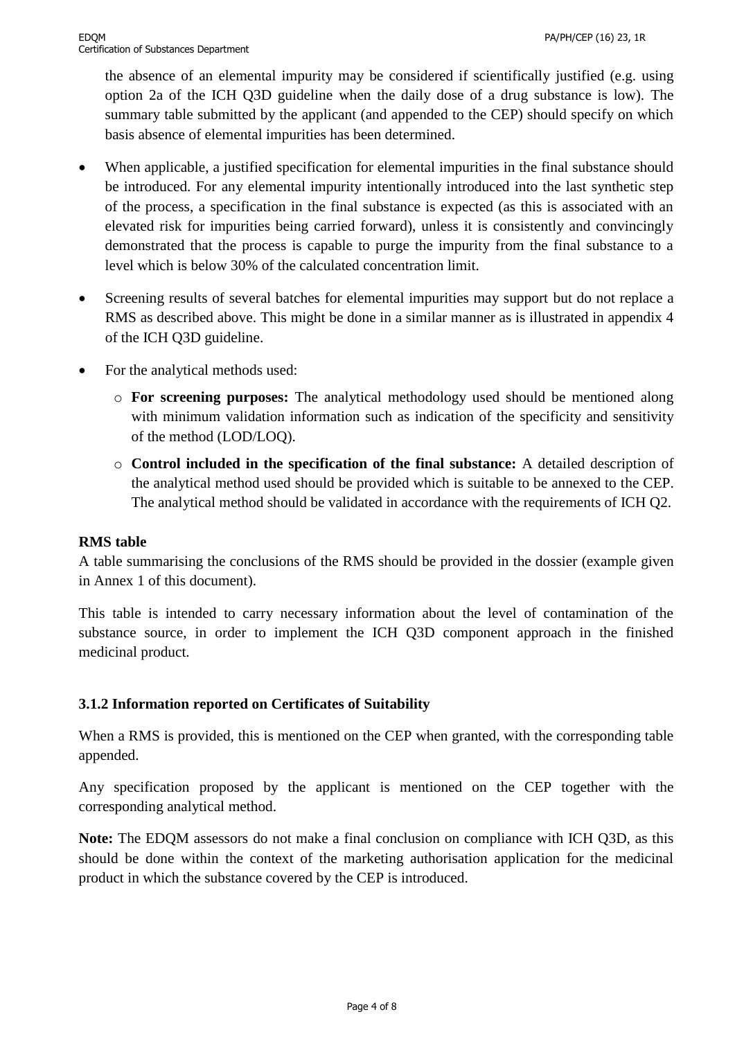the absence of an elemental impurity may be considered if scientifically justified (e.g. using option 2a of the ICH Q3D guideline when the daily dose of a drug substance is low). The summary table submitted by the applicant (and appended to the CEP) should specify on which basis absence of elemental impurities has been determined.

- When applicable, a justified specification for elemental impurities in the final substance should be introduced. For any elemental impurity intentionally introduced into the last synthetic step of the process, a specification in the final substance is expected (as this is associated with an elevated risk for impurities being carried forward), unless it is consistently and convincingly demonstrated that the process is capable to purge the impurity from the final substance to a level which is below 30% of the calculated concentration limit.
- Screening results of several batches for elemental impurities may support but do not replace a RMS as described above. This might be done in a similar manner as is illustrated in appendix 4 of the ICH Q3D guideline.
- For the analytical methods used:
	- o **For screening purposes:** The analytical methodology used should be mentioned along with minimum validation information such as indication of the specificity and sensitivity of the method (LOD/LOQ).
	- o **Control included in the specification of the final substance:** A detailed description of the analytical method used should be provided which is suitable to be annexed to the CEP. The analytical method should be validated in accordance with the requirements of ICH Q2.

#### **RMS table**

A table summarising the conclusions of the RMS should be provided in the dossier (example given in Annex 1 of this document).

This table is intended to carry necessary information about the level of contamination of the substance source, in order to implement the ICH Q3D component approach in the finished medicinal product.

### **3.1.2 Information reported on Certificates of Suitability**

When a RMS is provided, this is mentioned on the CEP when granted, with the corresponding table appended.

Any specification proposed by the applicant is mentioned on the CEP together with the corresponding analytical method.

**Note:** The EDQM assessors do not make a final conclusion on compliance with ICH Q3D, as this should be done within the context of the marketing authorisation application for the medicinal product in which the substance covered by the CEP is introduced.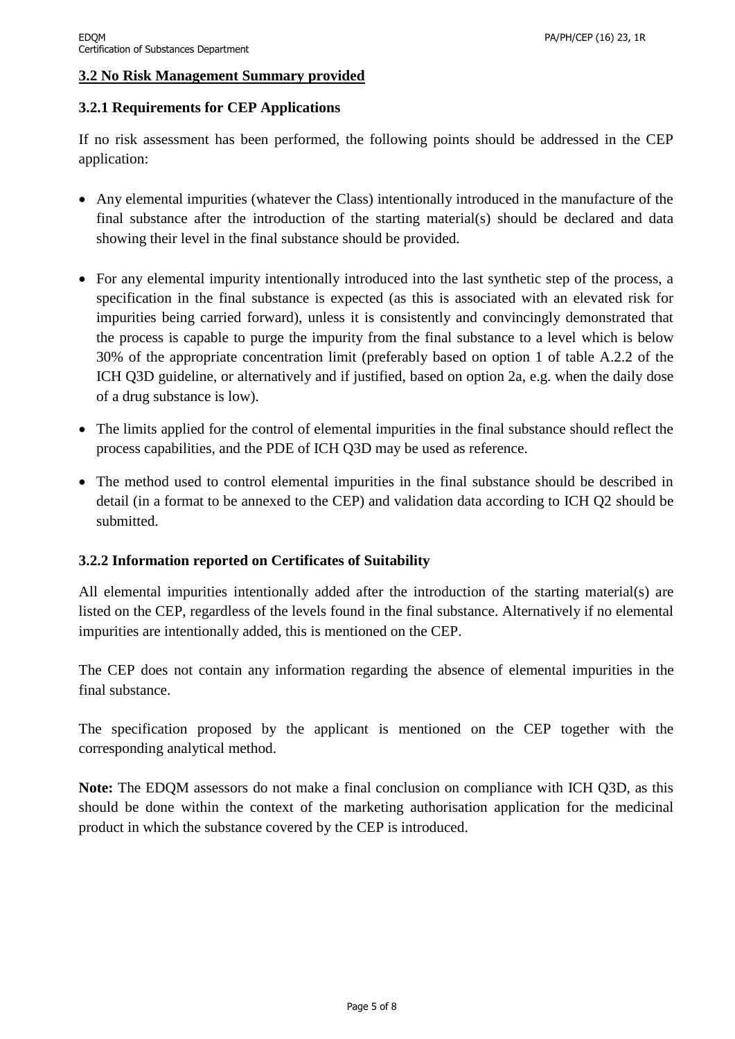#### **3.2 No Risk Management Summary provided**

#### **3.2.1 Requirements for CEP Applications**

If no risk assessment has been performed, the following points should be addressed in the CEP application:

- Any elemental impurities (whatever the Class) intentionally introduced in the manufacture of the final substance after the introduction of the starting material(s) should be declared and data showing their level in the final substance should be provided.
- For any elemental impurity intentionally introduced into the last synthetic step of the process, a specification in the final substance is expected (as this is associated with an elevated risk for impurities being carried forward), unless it is consistently and convincingly demonstrated that the process is capable to purge the impurity from the final substance to a level which is below 30% of the appropriate concentration limit (preferably based on option 1 of table A.2.2 of the ICH Q3D guideline, or alternatively and if justified, based on option 2a, e.g. when the daily dose of a drug substance is low).
- The limits applied for the control of elemental impurities in the final substance should reflect the process capabilities, and the PDE of ICH Q3D may be used as reference.
- The method used to control elemental impurities in the final substance should be described in detail (in a format to be annexed to the CEP) and validation data according to ICH Q2 should be submitted.

### **3.2.2 Information reported on Certificates of Suitability**

All elemental impurities intentionally added after the introduction of the starting material(s) are listed on the CEP, regardless of the levels found in the final substance. Alternatively if no elemental impurities are intentionally added, this is mentioned on the CEP.

The CEP does not contain any information regarding the absence of elemental impurities in the final substance.

The specification proposed by the applicant is mentioned on the CEP together with the corresponding analytical method.

**Note:** The EDQM assessors do not make a final conclusion on compliance with ICH Q3D, as this should be done within the context of the marketing authorisation application for the medicinal product in which the substance covered by the CEP is introduced.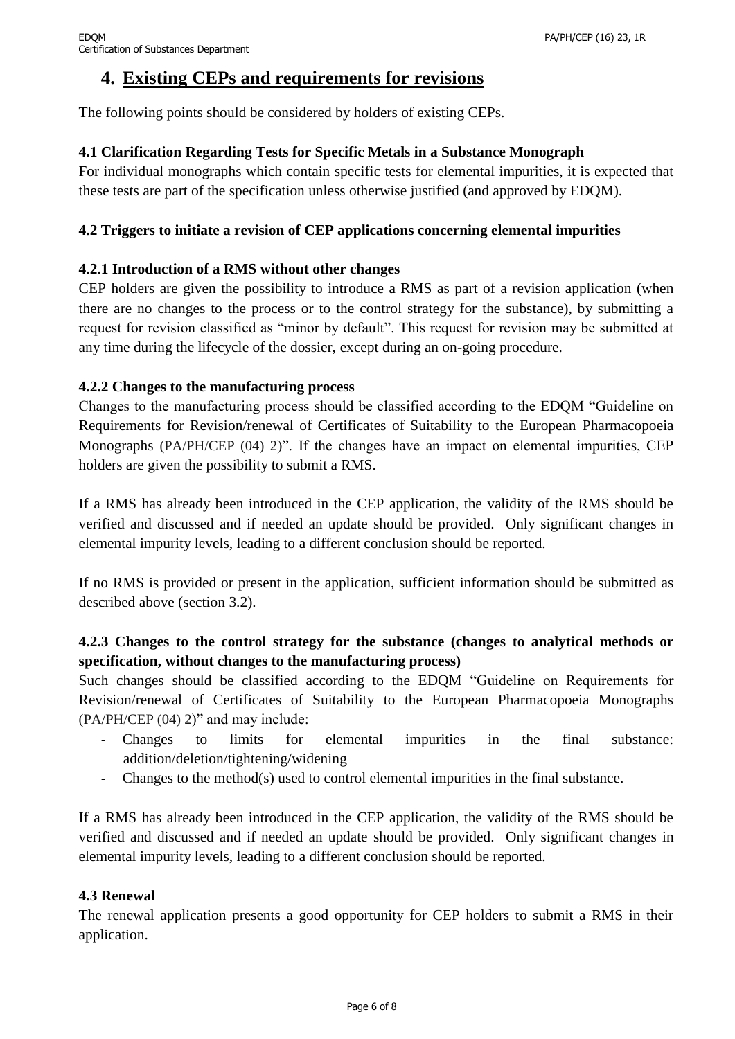## **4. Existing CEPs and requirements for revisions**

The following points should be considered by holders of existing CEPs.

### **4.1 Clarification Regarding Tests for Specific Metals in a Substance Monograph**

For individual monographs which contain specific tests for elemental impurities, it is expected that these tests are part of the specification unless otherwise justified (and approved by EDQM).

### **4.2 Triggers to initiate a revision of CEP applications concerning elemental impurities**

#### **4.2.1 Introduction of a RMS without other changes**

CEP holders are given the possibility to introduce a RMS as part of a revision application (when there are no changes to the process or to the control strategy for the substance), by submitting a request for revision classified as "minor by default". This request for revision may be submitted at any time during the lifecycle of the dossier, except during an on-going procedure.

#### **4.2.2 Changes to the manufacturing process**

Changes to the manufacturing process should be classified according to the EDQM "Guideline on Requirements for Revision/renewal of Certificates of Suitability to the European Pharmacopoeia Monographs (PA/PH/CEP (04) 2)". If the changes have an impact on elemental impurities, CEP holders are given the possibility to submit a RMS.

If a RMS has already been introduced in the CEP application, the validity of the RMS should be verified and discussed and if needed an update should be provided. Only significant changes in elemental impurity levels, leading to a different conclusion should be reported.

If no RMS is provided or present in the application, sufficient information should be submitted as described above (section 3.2).

## **4.2.3 Changes to the control strategy for the substance (changes to analytical methods or specification, without changes to the manufacturing process)**

Such changes should be classified according to the EDQM "Guideline on Requirements for Revision/renewal of Certificates of Suitability to the European Pharmacopoeia Monographs (PA/PH/CEP (04) 2)" and may include:

- Changes to limits for elemental impurities in the final substance: addition/deletion/tightening/widening
- Changes to the method(s) used to control elemental impurities in the final substance.

If a RMS has already been introduced in the CEP application, the validity of the RMS should be verified and discussed and if needed an update should be provided. Only significant changes in elemental impurity levels, leading to a different conclusion should be reported.

#### **4.3 Renewal**

The renewal application presents a good opportunity for CEP holders to submit a RMS in their application.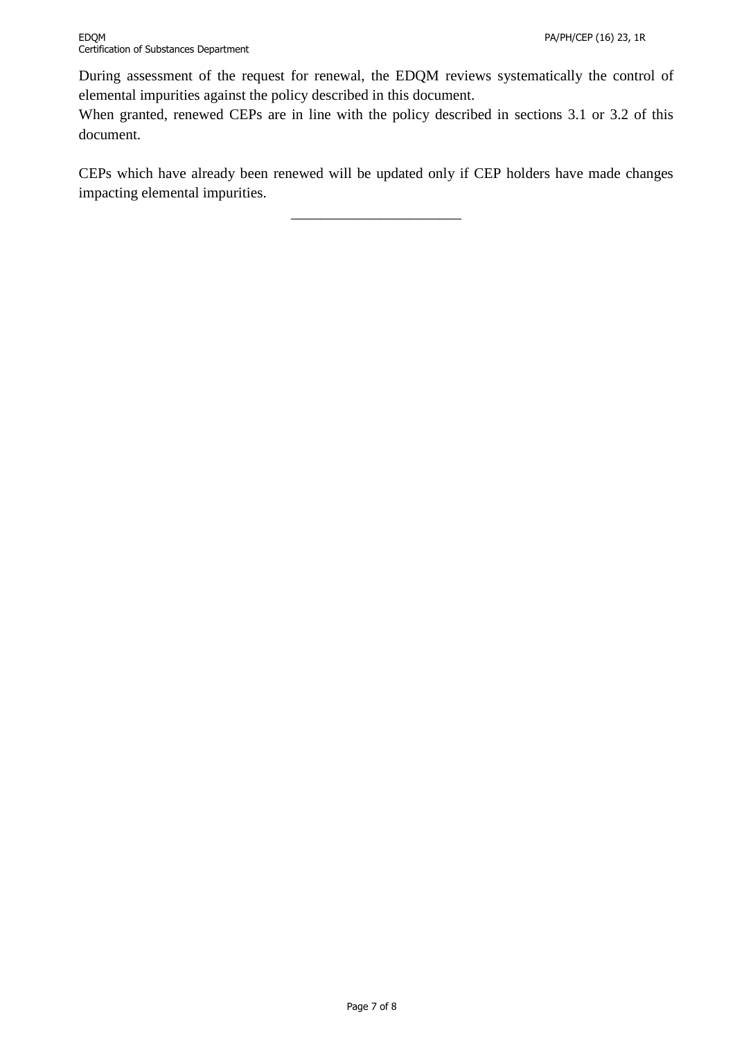During assessment of the request for renewal, the EDQM reviews systematically the control of elemental impurities against the policy described in this document.

When granted, renewed CEPs are in line with the policy described in sections 3.1 or 3.2 of this document.

CEPs which have already been renewed will be updated only if CEP holders have made changes impacting elemental impurities.

\_\_\_\_\_\_\_\_\_\_\_\_\_\_\_\_\_\_\_\_\_\_\_